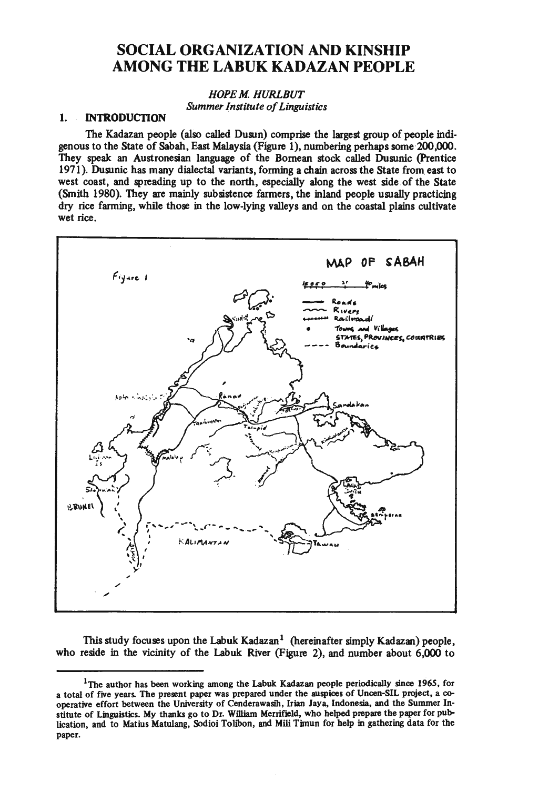# **SOCIAL ORGANIZATION AND KINSHIP AMONG THE LABUK KADAZAN PEOPLE**

# *HOPE M HURLBUT Summer Institute of Linguistics*

# **1. INTRODUCTION**

The Kadazan people (also called Dusun) comprise the largest group of people indigenous to the State of Sabah, East Malaysia(Figure 1), numbering perhaps some 200,000. They speak an Austronesian language of the Bomean stock called Dusunic (Prentice 1971 ). Dusunic has many dialectal variants, forming a chain across the State from east to west coast, and spreading up to the north, especially along the west side of the State (Smith 1980). They are mainly subsistence farmers, the inland people usually practicing dry rice farming, while those in the low-lying valleys and on the coastal plains cultivate wet rice.



This study focuses upon the Labuk Kadazan<sup>1</sup> (hereinafter simply Kadazan) people, who reside in the vicinity of the Labuk River (Figure 2), and number about 6,000 to

<sup>&</sup>lt;sup>1</sup>The author has been working among the Labuk Kadazan people periodically since 1965, for a total of five years. The present paper was prepared under the auspices of Uncen-SIL project, a cooperative effort between the University of Cenderawasih, Irian Jaya, Indonesia, and the Summer Institute of Linguistics. My thanks go to Dr. William Merrifield, who helped prepare the paper for publication, and to Matius Matulang, Sodioi Tolibon, and Mili Timun for help in gathering data for the paper.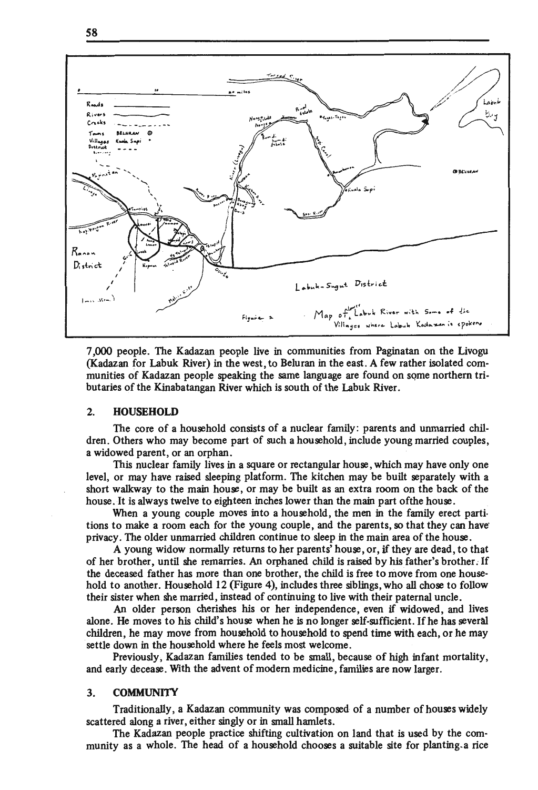



7 ,000 people. The Kadazan people live in communities from Paginatan on the Livogu (Kadazan for Labuk River) in the west, to Beluran in the east. A few rather isolated communities of Kadazan people speaking the same language are found on some northern tributaries of the Kinabatangan River which is south of the Labuk River.

#### 2. **HOUSEHOLD**

The core of a household consists of a nuclear family: parents and unmarried children. Others who may become part of such a household, include young married couples, a widowed parent, or an orphan.

This nuclear family lives in a square or rectangular house, which may have only one level, or may have raised sleeping platform. The kitchen may be built separately with a short walkway to the main house, or may be built as an extra room on the back of the house. It is always twelve to eighteen inches lower than the main part ofthe house.

When a young couple moves into a household, the men in the family erect partitions to make a room each for the young couple, and the parents, so that they can have· privacy. The older unmarried children continue to sleep in the main area of the house.

A young widow normally returns to her parents' house, or, if they are dead, to that of her brother, until she remarries. An orphaned child is raised by his father's brother. If the deceased father has more than one brother, the child is free to move from one household to another. Household 12 (Figure 4), includes three siblings, who all chose to follow their sister when she married, instead of continuing to live with their paternal uncle.

An older person cherishes his or her independence, even if widowed, and lives alone. He moves to his child's house when he is no longer self-sufficient. If he has several children, he may move from household to household to spend time with each, or he may settle down in the household where he feels most welcome.

Previously, Kadazan families tended to be small, because of high infant mortality, and early decease. With the advent of modem medicine, families are now larger.

#### 3. COMMUNITY

Traditionally, a Kadazan community was composed of a number of houses widely scattered along a river, either singly or in small hamlets.

The Kadazan people practice shifting cultivation on land that is used by the community as a whole. The head of a household chooses a suitable site for planting.a rice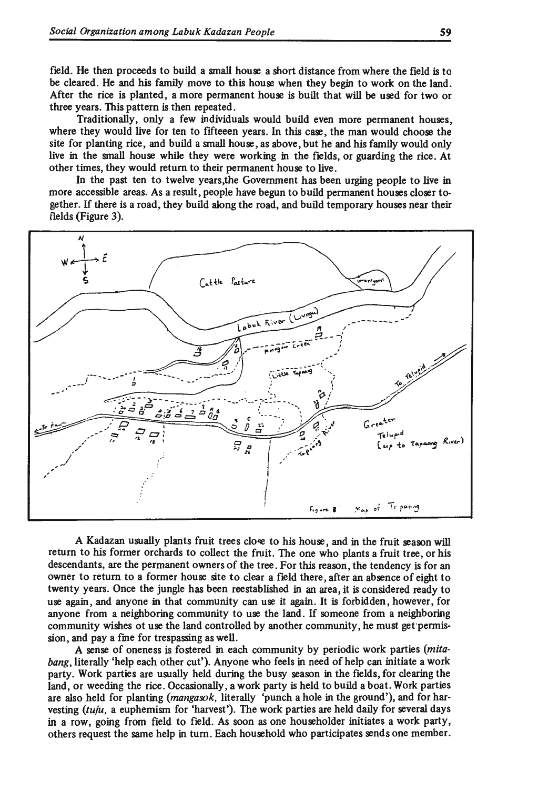field. He then proceeds to build a small house a short distance from where the field is to be cleared. He and his family move to this house when they begin to work on the land. After the rice is planted, a more permanent house is built that will be used for two or three years. This pattern is then repeated.

Traditionally, only a few individuals would build even more permanent houses, where they would live for ten to fifteeen years. In this case, the man would choose the site for planting rice, and build a small house, as above, but he and his family would only live in the small house while they were working in the fields, or guarding the rice. At other times, they would return to their permanent house to live.

In the past ten to twelve years,the Government has been urging people to live in more accessible areas. As a result, people have begun to build permanent houses closer together. If there is a road, they build along the road, and build temporary houses near their fields (Figure 3).



A Kadazan usually plants fruit trees close to his house, and in the fruit season will return to his former orchards to collect the fruit. The one who plants a fruit tree, or his descendants, are the permanent owners of the tree . For this reason, the tendency is for an owner to return to a former house site to clear a field there, after an absence of eight to twenty years. Once the jungle has been reestablished in an area, it is considered ready to use again, and anyone in that community can use it again. It is forbidden, however, for anyone from a neighboring community to use the land. If someone from a neighboring community wishes ot use the land controlled by another community, he must get permission, and pay a fme for trespassing as well.

A sense of oneness is fostered in each community by periodic work parties *(mitabang,* literally 'help each other cut'). Anyone who feels in need of help can initiate a work party. Work parties are usually held during the busy season in the fields, for clearing the land, or weeding the rice. Occasionally, a work party is held to build a boat. Work parties are also held for planting *(mangasok,* literally 'punch a hole in the ground'), and for harvesting *(tuju,* a euphemism for 'harvest'). The work parties are held daily for several days in a row, going from field to field. As soon as one householder initiates a work party, others request the same help in tum. Each household who participates sends one member.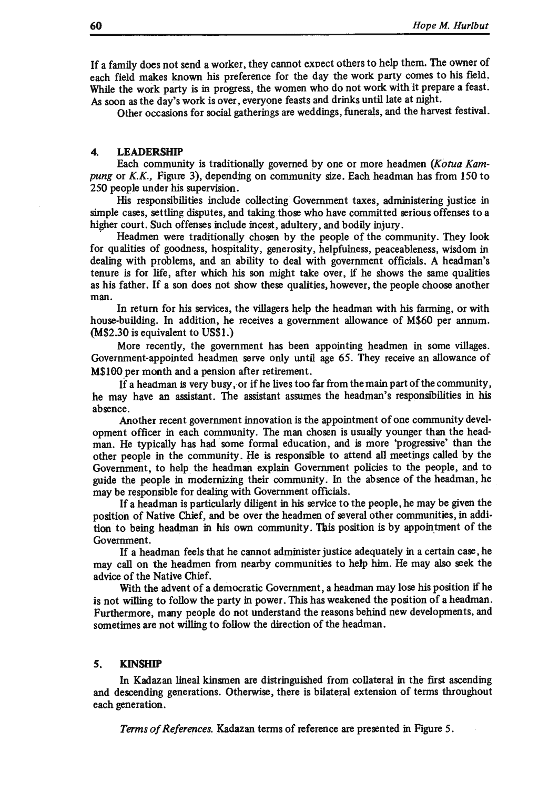If a family does not send a worker, they cannot exvect others to help them. The owner of each field makes known his preference for the day the work party comes to his field, While the work party is in progress, the women who do not work with it prepare a feast. As soon as the day's work is over, everyone feasts and drinks until late at night.

Other occasions for social gatherings are weddings, funerals, and the harvest festival.

#### **4. LEADERSHIP**

Each community is traditionally governed by one or more headmen *(Kotua Kam*pung or K.K., Figure 3), depending on community size. Each headman has from 150 to 250 people under his supervision.

His responsibilities include collecting Government taxes, administering justice in simple cases, settling disputes, and taking those who have committed serious offenses to a higher court. Such offenses include incest, adultery, and bodily injury.

Headmen were traditionally chosen by the people of the community. They look for qualities of goodness, hospitality, generosity, helpfulness, peaceableness, wisdom in dealing with problems, and an ability to deal with government officials. A headman's tenure is for life, after which his son might take over, if he shows the same qualities as his father. If a son does not show these qualities, however, the people choose another man.

In return for his services, the villagers help the headman with his farming, or with house-building. In addition, he receives a government allowance of M\$60 per annum. (M\$2.30 is equivalent to US\$1.)

More recently, the government has been appointing headmen in some villages. Government-appointed headmen serve only until age 65. They receive an allowance of M\$100 per month and a pension after retirement.

If a headman is very busy, or if he lives too far from the main part of the community, he may have an assistant. The assistant assumes the headman's responsibilities in his absence.

Another recent government innovation is the appointment of one community development officer in each community. The man chosen is usually younger than the headman. He typically has had some formal education, and is more 'progressive' than the other people in the community. He is responsible to attend all meetings called by the Government, to help the headman explain Government policies to the people, and to guide the people in modernizing their community. In the absence of the headman, he may be responsible for dealing with Government officials.

If a headman is particularly diligent in his service to the people, he may be given the position of Native Chief, and be over the headmen of several other communities, in addition to being headman in his own community. This position is by appointment of the Government.

If a headman feels that he cannot administer justice adequately in a certain case, he may call on the headmen from nearby communities to help him. He may also seek the advice of the Native Chief.

With the advent of a democratic Government, a headman may lose his position if he is not willing to follow the party in power. This has weakened the position of a headman. Furthermore, many people do not understand the reasons behind new developments, and sometimes are not willing to follow the direction of the headman.

#### **S. KINSHIP**

In Kadazan lineal kinsmen are distringuished from collateral in the first ascending and descending generations. Otherwise, there is bilateral extension of terms throughout each generation.

*Terms of References.* Kadazan terms of reference are presented in Figure 5.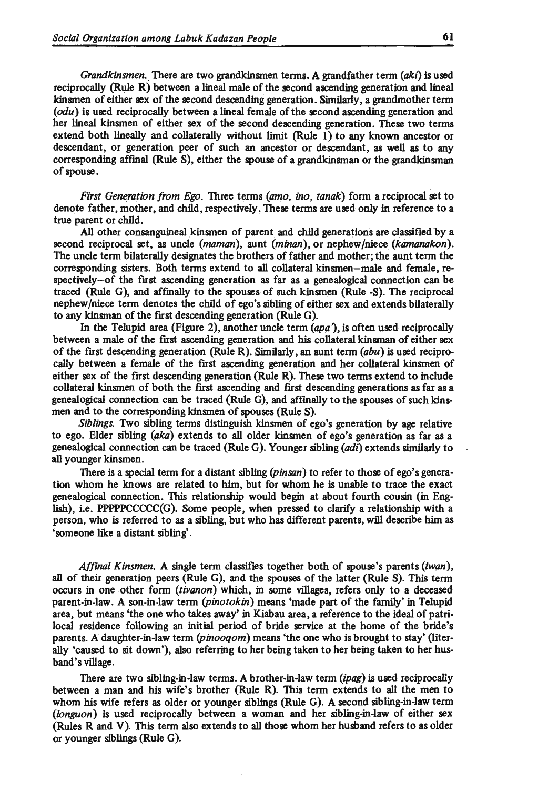*Grandkinsmen.* There are two grandkinsmen terms. A grandfather term *(aki)* is used reciprocally (Rule R) between a lineal male of the second ascending generation and lineal kinsmen of either sex of the second descending generation. Similarly, a grandmother term *(odu)* is used reciprocally between a lineal female of the second ascending generation and her lineal kinsmen of either sex of the second descending generation. These two terms extend both lineally and collaterally without limit (Rule 1) to any known ancestor or descendant, or generation peer of such an ancestor or descendant, as well as to any corresponding affinal (Rule S), either the spouse of a grandkinsman or the grandkinsman of spouse.

*First Generation from Ego.* Three terms *(amo, ino, tanak)* form a reciprocal set to denote father, mother, and child, respectively. These terms are used only in reference to a true parent or child.

All other consanguineal kinsmen of parent and child generations are classified by a second reciprocal set, as uncle *(maman),* aunt *(minan),* or nephew/niece *(kamanakon).*  The uncle term bilaterally designates the brothers of father and mother; the aunt term the corresponding sisters. Both terms extend to all collateral kinsmen-male and female, respectively-of the first ascending generation as far as a genealogical connection can be traced (Rule G), and affinally to the spouses of such kinsmen (Rule -S). The reciprocal nephew /niece term denotes the child of ego's sibling of either sex and extends bilaterally to any kinsman of the first descending generation (Rule G).

In the Telupid area (Figure 2), another uncle term *(apa),* is often used reciprocally between a male of the first ascending generation and his collateral kinsman of either sex of the first descending generation (Rule R). Similarly, an aunt term  $(abu)$  is used reciprocally between a female of the first ascending generation and her collateral kinsmen of either sex of the first descending generation (Rule R). These two terms extend to include collateral kinsmen of both the first ascending and first descending generations as far as a genealogical connection can be traced (Rule G), and affinally to the spouses of such kinsmen and to the corresponding kinsmen of spouses (Rule S).

*Siblings.* Two sibling terms distinguish kinsmen of ego's generation by age relative to ego. Elder sibling *(aka)* extends to all older kinsmen of ego's generation as far as a genealogical connection can be traced (Rule G). Younger sibling (adi) extends similarly to all younger kinsmen.

There is a special term for a distant sibling *(pinsan)* to refer to those of ego's generation whom he knows are related to him, but for whom he is unable to trace the exact genealogical connection. This relationship would begin at about fourth cousin (in English), i.e. PPPPPCCCCC(G). Some people, when pressed to clarify a relationship with a person, who is referred to as a sibling, but who has different parents, will describe him as 'someone like a distant sibling'.

*A/final Kinsmen.* A single term classifies together both of spouse's parents *(iwan),*  all of their generation peers (Rule G), and the spouses of the latter (Rule S). This term occurs in one other form *(tivanon)* which, in some villages, refers only to a deceased parent-in-law. A son-in-law term *(pinotokin)* means 'made part of the family' in Telupid area, but means 'the one who takes away' in Kiabau area, a reference to the ideal of patrilocal residence following an initial period of bride service at the home of the bride's parents. A daughter-in-law term *(pinooqom)* means 'the one who is brought to stay' (literally 'caused to sit down'), also referring to her being taken to her being taken to her husband's village.

There are two sibling-in-law terms. A brother-in-law term *(ipag)* is used reciprocally between a man and his wife's brother (Rule R). This term extends to all the men to whom his wife refers as older or younger siblings (Rule G). A second sibling-in-law term *(longuon)* is used reciprocally between a woman and her sibling-in-law of either sex (Rules R and V). This term also extends to all those whom her husband refers to as older or younger siblings (Rule G ).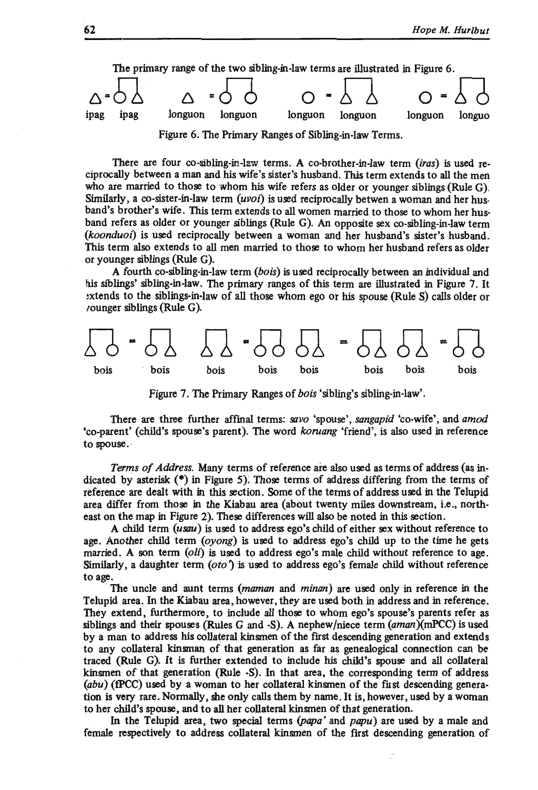

Figure 6. The Primary Ranges of Sibling-in-law Terms.

There are four co-sibling-in-law terms. A co-brother-in-law term *(iras)* is used reciprocally between a man and his wife's sister's husband. Thjs term extends to all the men who are married to those to whom his wife refers as older or younger siblings (Rule G). Similarly, a co-sister-in-law term *(uvoi)* is used reciprocally betwen a woman and her husband's brother's wife. This term extends to all women married to those to whom her husband refers as older or younger siblings (Rule G). An opposite sex co-sibling-in-law term *(koonduoi)* is used reciprocally between a woman and her husband's sister's husband. This term also extends to all men married to those to whom her husband refers as older or younger siblings (Rule G).

A fourth co-sibling-in-law term *(bois)* is used reciprocally between an individual and his siblings' sibling-in-law. The primary ranges of this term are illustrated in Figure 7. It :xtends to the siblings-in-law of all those whom ego or his spouse (Rule S) calls older or rounger siblings (Rule G ).



Figure 7. The Primary Ranges of *bois* 'sibling's sibling-in-law'.

There are three further affinal terms: *savo* 'spouse'; *sangapid* 'co-wife', and *amod*  'co-parent' (child's spouse's parent). The word *koruang* 'friend', is also used in reference to spouse. ·

*Terms of Address,* Many terms of reference are also used as terms of address (as indicated by asterisk  $(*)$  in Figure 5). Those terms of address differing from the terms of reference are dealt with in this section. Some of the terms of address used in the Telupid area differ from those in the Kiabau area (about twenty miles downstream, i.e., northeast on the map in Figure 2). These differences will also be noted in this section.

A child term *(usau)* is used to address ego's child of either sex without reference to age. Another child term *(oyong)* is used to address ego's child up to the time he gets married. A son term *(oli)* is used to address ego's male child without reference to age. Similarly, a daughter term *(oto)* is used to address ego's female child without reference to age.

The uncle and aunt terms *(maman and minan)* are used only in reference in the Telupid area. In the Kiabau area, however, they are used both in address and in reference. They extend, furthermore, to include all those to whom ego's spouse's parents refer as siblings and their spouses (Rules G and -S). A nephew/niece term *(aman)(mPCC)* is used by a man to address his collateral kinsmen of the first descending generation and extends to any collateral kinsman of that generation as far as genealogical connection can be traced (Rule G). It is further extended to include his child's spouse and all collateral kinsmen of that generation (Rule -S). In that area, the corresponding term of address  $(abu)$  ( $fPCC$ ) used by a woman to her collateral kinsmen of the fust descending generation is very rare. Normally, she only calls them by name. It is, however, used by a woman to her child's spouse, and to all her collateral kinsmen of that generation.

In the Telupid area, two special terms *(papa'* and *papu)* are used by a male and female respectively to address collateral kinsmen of the first descending generation of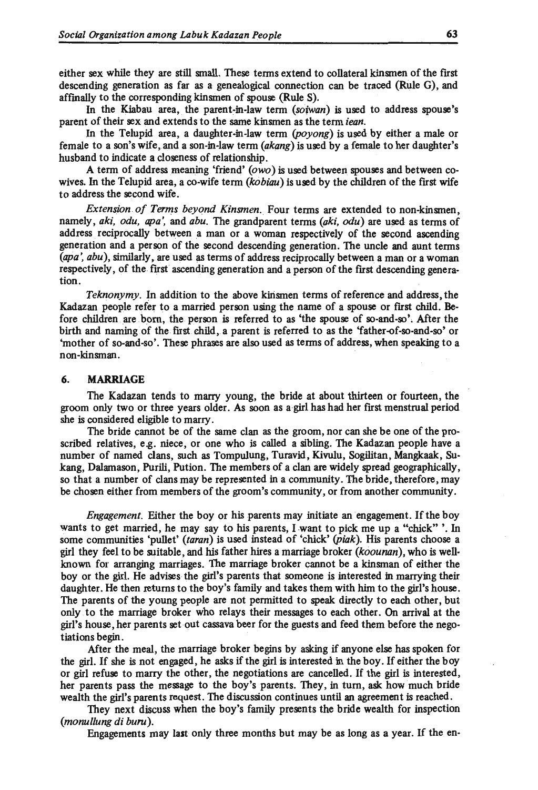either sex while they are still small. These terms extend to collateral kinsmen of the first descending generation as far as a genealogical connection can be traced (Rule G), and affinally to the corresponding kinsmen of spouse (Rule S).

In the Kiabau area, the parent-in-law term *(soiwan)* is used to address spouse's parent of their sex and extends to the same kinsmen as the term *iean.* 

In the Telupid area, a daughter-in-law term *(poyong)* is used by either a male or female to a son's wife, and a son-in-law term *(akang)* is used by a female to her daughter's husband to indicate a closeness of relationship.

A term of address meaning 'friend' *(owo)* is used between spouses and between cowives. In the Telupid area, a co-wife term *(kobiau)* is used by the children of the first wife to address the second wife.

*Extension of Terms beyond Kinsmen.* Four terms are extended to non-kinsmen, namely, *aki, odu, apa',* and *abu.* The grandparent terms *(aki, odu)* are used as terms of address reciprocally between a man or a woman respectively of the second ascending generation and a person of the second descending generation. The uncle and aunt terms *(apa', abu)*, similarly, are used as terms of address reciprocally between a man or a woman respectively, of the first ascending generation and a person of the first descending generation.

*Teknonymy.* In addition to the above kirismen terms of reference and address, the Kadazan people refer to a married person using the name of a spouse or first child. Be· fore children are born, the person is referred to as 'the spouse of so-and-so'. After the birth and naming of the first child, a parent is referred to as the 'father-of-so-and-so' or 'mother of so-and-so'. These phrases are also used as terms of address, when speaking to a non-kinsman.

#### 6. MARRIAGE

The Kadazan tends to marry young, the bride at about thirteen or fourteen, the groom only two or three years older. As soon as a girl has had her first menstrual period she is considered eligible to marry.

The bride cannot be of the same clan as the groom, nor can she be one of the proscribed relatives, e.g. niece, or one who is called a sibling. The Kadazan people have a number of named clans, such as Tompulung, Turavid, Kivulu, Sogilitan, Mangkaak, Sukang, Dalamason, Purili, Pution. The members of a clan are widely spread geographically, so that a number of clans may be represented in a community. The bride, therefore, may be chosen either from members of the groom's community, or from another community.

*Engagement.* Either the boy or his parents may initiate an engagement. If the boy wants to get married, he may say to his parents, I want to pick me up a "chick" '. In some communities 'pullet' *(taran)* is used instead of 'chick' *(piak).* His parents choose a girl they feel to be suitable, and his father hires a marriage broker *(koounan* ), who is well· known for arranging marriages. The marriage broker cannot be a kinsman of either the boy or the girl. He advises the girl's parents that someone is interested in marrying their daughter. He then returns to the boy's family and takes them with him to the girl's house. The parents of the young people are not permitted to speak directly to each other, but only to the marriage broker who relays their messages to each other. On arrival at the girl's house, her parents set out cassava beer for the guests and feed them before the negotiations begin.

After the meal, the marriage broker begins by asking if anyone else has spoken for the girl. If she is not engaged, he asks if the girl is interested in the boy. If either the boy or girl refuse to marry the other, the negotiations are cancelled. If the girl is interested, her parents pass the message to the boy's parents. They, in turn, ask how much bride wealth the girl's parents request. The discussion continues until an agreement is reached.

They next discuss when the boy's family presents the bride wealth for inspection *(monullung di bunt).* 

Engagements may last only three months but may be as long as a year. If the en-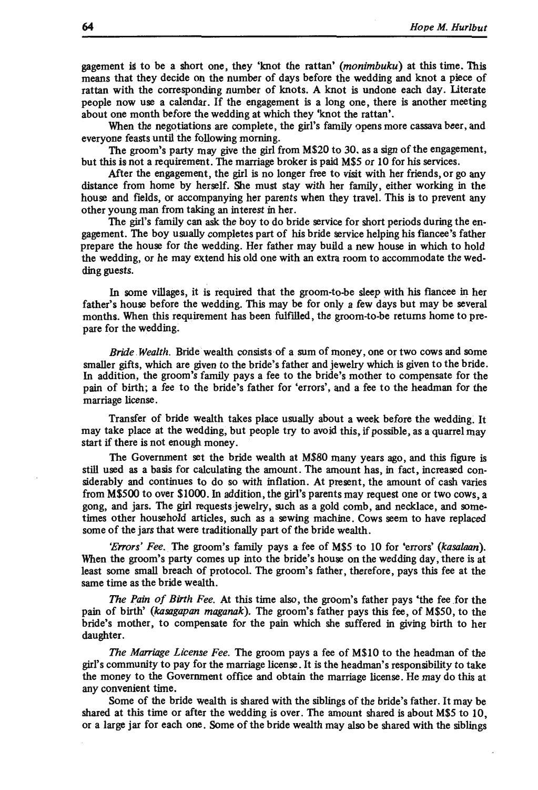gagement is to be a short one, they 'knot the rattan' *(monimbuku)* at this time. This means that they decide on the number of days before the wedding and knot a piece of rattan with the corresponding number of knots. A knot is undone each day. Literate people now use a calendar. If the engagement is a long one, there is another meeting about one month before the wedding at which they 'knot the rattan'.

When the negotiations are complete, the girl's family opens more cassava beer, and everyone feasts until the following morning.

The groom's party may give the girl from M\$20 to 30. as a sign of the engagement, but this is not a requirement. The marriage broker is paid M\$5 or 10 for his services.

After the engagement, the girl is no longer free to visit with her friends, or go any distance from home by herself. She must stay with her family, either working in the house and fields, or accompanying her parents when they travel. This is to prevent any other young man from taking an interest in her.

The girl's family can ask the boy to do bride service for short periods during the engagement. The boy usually completes part of his bride service helping his fiancee's father prepare the house for the wedding. Her father may build a new house in which to hold the wedding, or he may extend his old one with an extra room to accommodate the wedding guests.

In some villages, it is required that the groom-to-be sleep with his fiancee in her father's house before the wedding. This may be for only a few days but may be several months. When this requirement has been fulfilled, the groom-to-be returns home to prepare for the wedding.

*Bride Wealth*. Bride wealth consists of a sum of money, one or two cows and some smaller gifts, which are given to the bride's father and jewelry which is given to the bride. In addition, the groom's family pays a fee to the bride's mother to compensate for the pain of birth; a fee to the bride's father for 'errors', and a fee to the headman for the marriage license.

Transfer of bride wealth takes place usually about a week before the wedding. It may take place at the wedding, but people try to avoid this, if possible, as a quarrel may start if there is not enough money.

The Government set the bride wealth at M\$80 many years ago, and this figure is still used as a basis for calculating the amount. The amount has, in fact, increased considerably and continues to do so with inflation. At present, the amount of cash varies from M\$500 to over \$1000. In addition, the girl's parents may request one or two cows, a gong, and jars. The girl requestsjewelry, such as a gold comb, and necklace, and sometimes other household articles, such as a sewing machine. Cows seem to have replaced some of the jars that were traditionally part of the bride wealth.

*'E"ors' Fee.* The groom's family pays a fee of M\$5 to 10 for 'errors' *(kasalaan).*  When the groom's party comes up into the bride's house on the wedding day, there is at least some small breach of protocol. The groom's father, therefore, pays this fee at the same time as the bride wealth.

*The Pain of Birth Fee.* At this time also, the groom's father pays 'the fee for the pain of birth' *(kasagapan maganak).* The groom's father pays this fee, of M\$50, to the bride's mother, to compensate for the pain which she suffered in giving birth to her daughter.

*The Marriage License Fee.* The groom pays a fee of M\$10 to the headman of the girl's community to pay for the marriage license. It is the headman's responsibility to take the money to the Government office and obtain the marriage license. He may do this at any convenient time.

Some of the bride wealth is shared with the siblings of the bride's father. It may be shared at this time or after the wedding is over. The amount shared is about M\$5 to 10, or a large jar for each one. Some of the bride wealth may also be shared with the siblings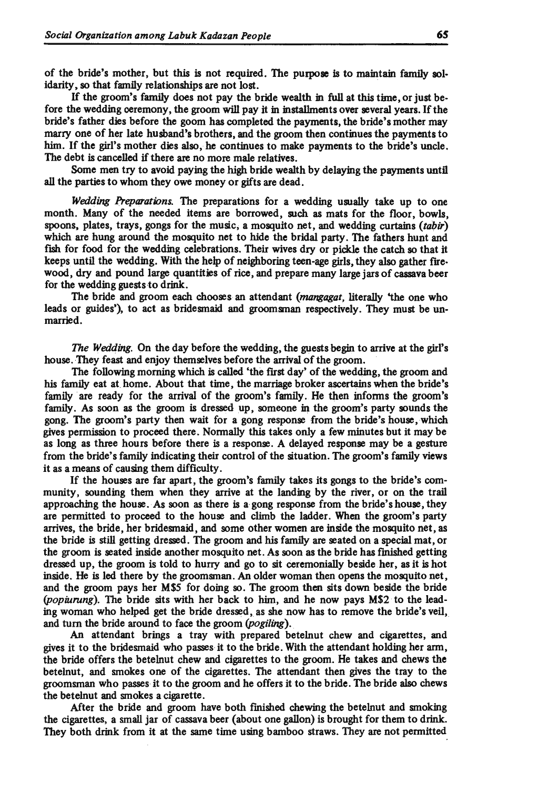of the bride's mother, but this is not required. The purpose is to maintain family solidarity, so that family relationships are not lost.

If the groom's family does not pay the bride wealth in full at this time, or just before the wedding ceremony, the groom will pay it in installments over several years. If the bride's father dies before the goom has completed the payments, the bride's mother may marry one of her late husband's brothers, and the groom then continues the payments to him. If the girl's mother dies also, he continues to make payments to the bride's uncle. The debt is cancelled if there are no more male relatives.

Some men try to avoid paying the high bride wealth by delaying the payments until all the parties to whom they owe money or gifts are dead.

*Wedding Preparations.* The preparations for a wedding usually take up to one month. Many of the needed items are borrowed, such as mats for the floor, bowls, spoons, plates, trays, gongs for the music; a mosquito net, and wedding curtains *(tabir)*  which are hung around the mosquito net to hide the bridal party. The fathers hunt and fish for food for the wedding celebrations. Their wives dry or pickle the catch so that it keeps until the wedding. With the help of neighboring teen-age girls, they also gather firewood, dry and pound large quantities of rice, and prepare many large jars of cassava beer for the wedding guests to drink.

The bride and groom each chooses an attendant *(mangagat,* literally 'the one who leads or guides'), to act as bridesmaid and groomsman respectively. They must be unmarried.

*The Wedding.* On the day before the wedding, the guests begin to arrive at the girl's house. They feast and enjoy themselves before the arrival of the groom.

The following morning which is called 'the first day' of the wedding, the groom and his family eat at home. About that time, the marriage broker ascertains when the bride's family are ready for the arrival of the groom's family. He then informs the groom's family. As soon as the groom is dressed up, someone in the groom's party sounds the gong. The groom's party then wait for a gong response from the bride's house, which gives permission to proceed there. Normally this takes only a few minutes but it may be as long as three hours before there is a response. A delayed response may be a gesture from the bride's family indicating their control of the situation. The groom's family views it as a means of causing them difficulty.

If the houses are far apart, the groom's family takes its gongs to the bride's community, sounding them when they arrive at the landing by the river, or on the trail approaching the house. As soon as there is a gong response from the bride's house, they are permitted to proceed to the house and climb the ladder. When the groom's party arrives, the bride, her bridesmaid, and some other women are inside the mosquito net, as the bride is still getting dressed. The groom and his family are seated on a special mat, or the groom is seated inside another mosquito net. As soon as the bride has fmished getting dressed up, the groom is told to hurry and go to sit eeremonially beside her, as it is hot inside. He is led there by the groomsman. An older woman then opens the mosquito net, and the groom pays her M\$5 for doing so. The groom then sits down beside the bride *(popiurung)*. The bride sits with her back to him, and he now pays M\$2 to the leading woman who helped get the bride dressed, as she now has to remove the bride's veil, and turn the bride around to face the groom *(pogiling).* 

An attendant brings a tray with prepared betelnut chew and cigarettes, and gives it to the bridesmaid who passes it to the bride. With the attendant holding her arm, the bride offers the betelnut chew and cigarettes to the groom. He takes and chews the betelnut, and smokes one of the cigarettes. The attendant then gives the tray to the groomsman who passes it to the groom and he offers it to the bride. The bride also chews the betelnut and smokes a cigarette.

After the bride and groom have both finished chewing the betelnut and smoking the cigarettes, a small jar of cassava beer (about one gallon) is brought for them to drink. They both drink from it at the same time using bamboo straws. They are not permitted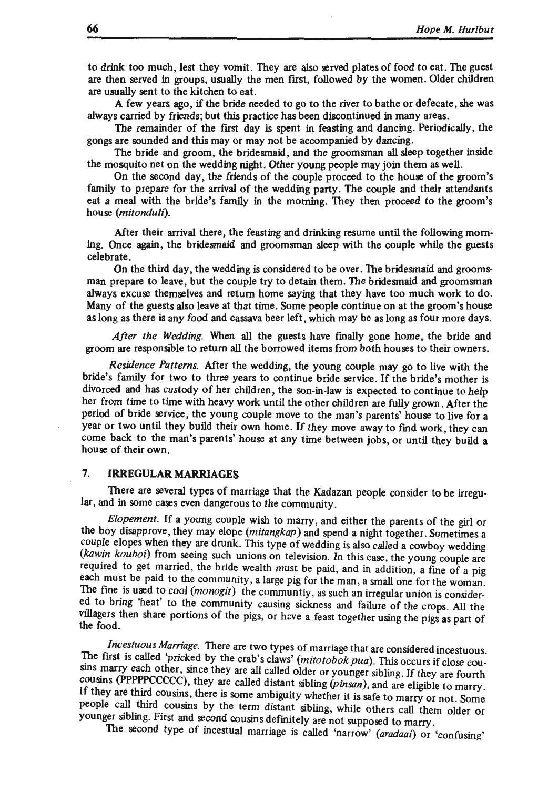to drink too much, lest they vomit. They are also served plates of food to eat. The guest are then served in groups, usually the men first, followed by the women. Older children are usually sent to the kitchen to eat.

A few years ago, if the bride needed to go to the river to bathe or defecate, she was always carried by friends; but this practice has been discontinued in many areas.

The remainder of the first day is spent in feasting and dancing. Periodically, the gongs are sounded and this may or may not be accompanied by dancing.

The bride and groom, the bridesmaid, and the groomsman all sleep together inside the mosquito net on the wedding night. Other young people may join them as well.

On the second day, the friends of the couple proceed to the house of the groom's family to prepare for the arrival of the wedding party. The couple and their attendants eat a meal with the bride's family in the morning. They then proceed to the groom's house *(mitonduli).* 

After their arrival there, the feasting and drinking resume until the following morning. Once again, the bridesmaid and groomsman sleep with the couple while the guests celebrate.

On the third day, the wedding is considered to be over. The bridesmaid and groomsman prepare to leave , but the couple try to detain them. The bridesmaid and groomsman always excuse themselves and return home saying that they have too much work to do. Many of the guests also leave at that time. Some people continue on at the groom's house as long as there is any food and cassava beer left, which may be as long as four more days.

*After the Wedding.* When all the guests have finally gone home, the bride and groom are responsible to return all the borrowed items from both houses to their owners.

*Residence Patterns.* After the wedding, the young couple may go to live with the bride's family for two to three years to continue bride service. If the bride's mother is divorced and has custody of her children, the son-in-law is expected to continue to help her from time to time with heavy work until the other children are fully grown . After the period of bride service, the young couple move to the man's parents' house to live for a year or two until they build their own home. If they move away to find work, they can come back to the man's parents' house at any time between jobs, or until they build a house of their own.

# **7. IRREGULAR MARRIAGES**

There are several types of marriage that the Kadazan people consider to be irregular, and in some cases even dangerous to the community.

*Elopement.* If a young couple wish to marry , and either the parents of the girl or the boy disapprove, they may elope *(mitangkap)* and spend a night together. Sometimes a couple elopes when they are drunk. This type of wedding is also called a cowboy wedding *(kawin kouboi)* from seeing such unions on television. In this case, the young couple are required to get married, the bride wealth must be paid, and in addition, a fine of a pig each must be paid to the community, a large pig for the man, a small one for the woman. The fine is used to cool *(monogit)* the communtiy, as such an irregular union is considered to bring 'heat' to the community causing sickness and failure of the crops. All the villagers then share portions of the pigs, or have a feast together using the pigs as part of the food.

*Incestuous Marriage.* There are two types of marriage that are considered incestuous. The first is called 'pricked by the crab's claws' *(mitotobok pua)*. This occurs if close cousins marry each other, since they are all called older or younger sibling. If they are fourth cousins (PPPPPCCCCC), they are called distant sibling (pinsan), and are eligible to marry. If they are third cousins, there is some ambiguity whether it is safe to marry or not. Some people call third cousins by the term distant sibling, while others call them older or younger sibling. First and second cousins definitely are not supposed to marry .

The second type of incestual marriage is called 'narrow' *(aradaai)* or 'confusing'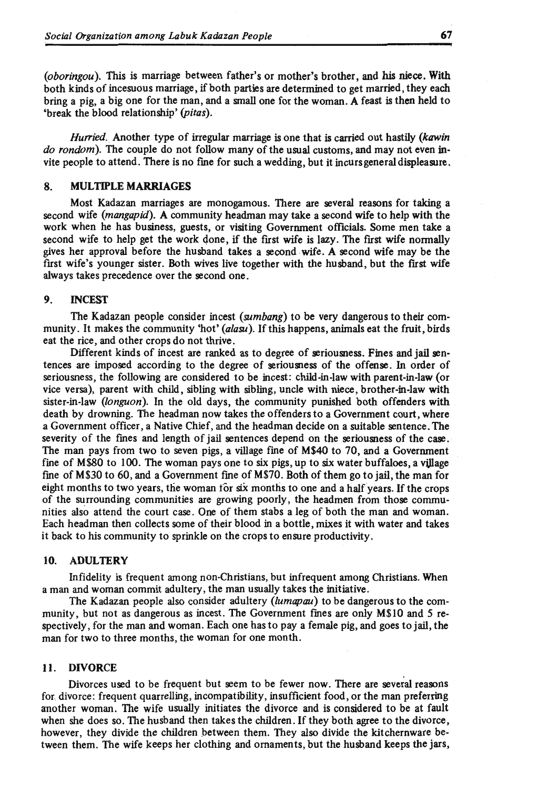*(oboringou* ). This is marriage between father's or mother's brother, and his niece. With both kinds of incesuous marriage, if both parties are determined to get married, they each bring a pig, a big one for the man, and a small one for the woman. A feast is then held to 'break the blood relationship' *(pitas).* 

*Hurried.* Another type of irregular marriage is one that is carried out hastily *(kawin*) *do random).* The couple do not follow many of the usual customs, and may not even invite people to attend. There is no fine for such a wedding, but it incurs general displeasure.

## 8. MULTIPLE MARRIAGES

Most Kadazan marriages are monogamous. There are several reasons for taking a second wife *(mangapid).* A community headman may take a second wife to help with the work when he has business, guests, or visiting Goverrunent officials. Some men take a second wife to help get the work done, if the first wife is lazy. The first wife normally gives her approval before the husband takes a second wife. A second wife may be the first wife's younger sister. Both wives live together with the husband, but the first wife always takes precedence over the second one.

# 9. INCEST

The Kadazan people consider incest *(sumbang)* to be very dangerous to their community. It makes the community 'hot' *(alasu).* If this happens, animals eat the fruit, birds eat the rice, and other crops do not thrive.

Different kinds of incest are ranked as to degree of seriousness. Fines and jail sentences are imposed according to the degree of seriousness of the offense. In order of seriousness, the following are considered to be incest: child-in-law with parent-in-law (or vice versa), parent with child, sibling with sibling, uncle with niece, brother-in-law with sister-in-law *(longuon).* In the old days, the community punished both offenders with death by drowning. The headman now takes the offenders to a Goverrunent court, where a Government officer, a Native Chief, and the headman decide on a suitable sentence. The severity of the fines and length of jail sentences depend on the seriousness of the case. The man pays from two to seven pigs, a village fine of M\$40 to 70, and a Government fine of M\$80 to 100. The woman pays one to six pigs, up to six water buffaloes, a vijlage fine of M\$30 to 60, and a Goverrunent fine of M\$70. Both of them go to jail, the man for eight months to two years, the woman for six months to one and a half years. If the crops of the surrounding communities are growing poorly, the headmen from those communities also attend the court case . One of them stabs a leg of both the man and woman. Each headman then collects some of their blood in a bottle, mixes it with water and takes it back to his community to sprinkle on the crops to ensure productivity.

# 10. ADULTERY

Infidelity is frequent among non-Christians, but infrequent among Christians. When a man and woman commit adultery, the man usually takes the initiative.

The Kadazan people also consider adultery *(lumapau)* to be dangerous to the community, but not as dangerous as incest. The Government fines are only M\$10 and 5 respectively, for the man and woman. Each one has to pay a female pig, and goes to jail, the man for two to three months, the woman for one month.

# 11. DIVORCE

Divorces used to be frequent but seem to be fewer now. There are several reasons for, divorce: frequent quarrelling, incompatibility, insufficient food, or the man preferring another woman. The wife usually initiates the divorce and is considered to be at fault when she does so. The husband then takes the children . If they both agree to the divorce, however, they divide the children between them. They also divide the kitchernware between them. The wife keeps her clothing and ornaments, but the husband keeps the jars,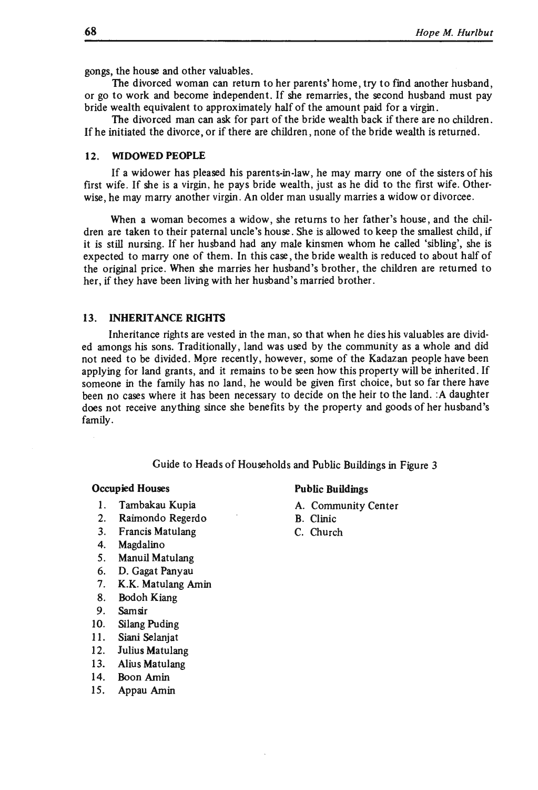gongs, the house and other valuables.

The divorced woman can return to her parents' home, try to find another husband, or go to work and become independent. If she remarries, the second husband must pay bride wealth equivalent to approximately half of the amount paid for a virgin.

The divorced man can ask for part of the bride wealth back if there are no children . If he initiated the divorce, or if there are children, none of the bride wealth is returned.

## 12. WIDOWED PEOPLE

If a widower has pleased his parents-in-law, he may marry one of the sisters of his first wife. If she is a virgin, he pays bride wealth, just as he did to the first wife. Otherwise, he may marry another virgin . An older man usually marries a widow or divorcee.

When a woman becomes a widow, she returns to her father's house, and the children are taken to their paternal uncle's house. She is allowed to keep the smallest child, if it is still nursing. If her husband had any male kinsmen whom he called 'sibling', she is expected to marry one of them. In this case , the bride wealth is reduced to about half of the original price. When she marries her husband's brother, the children are returned to her, if they have been living with her husband's married brother.

#### 13. INHERITANCE RIGHTS

Inheritance rights are vested in the man, so that when he dies his valuables are divided amongs his sons. Traditionally, land was used by the community as a whole and did not need to be divided. More recently, however, some of the Kadazan people have been applying for land grants, and it remains to be seen how this property will be inherited. If someone in the family has no land, he would be given first choice , but so far there have been no cases where it has been necessary to decide on the heir to the land. :A daughter does not receive anything since she benefits by the property and goods of her husband's family.

Guide to Heads of Households and Public Buildings in Figure 3

- 1. Tambakau Kupia  $A.$  Community Center
- 2. Raimondo Regerdo B. Clinic<br>3. Francis Matulang C. Churcl
- 3. Francis Matulang C. Church
- 4. Magdalino
- 5. Manuil Matulang
- 6. D. Gagat Panyau
- 7. K.K. Matulang Amin
- 8. Bodoh Kiang
- 9. Sam sir
- 10. Silang Puding
- 11. Siani Selanjat
- 12. Julius Matulang
- 13. Alius Matulang
- 14. Boon Amin
- 15. Appau Amin

#### Occupied Houses **Public Buildings**

- 
- 
-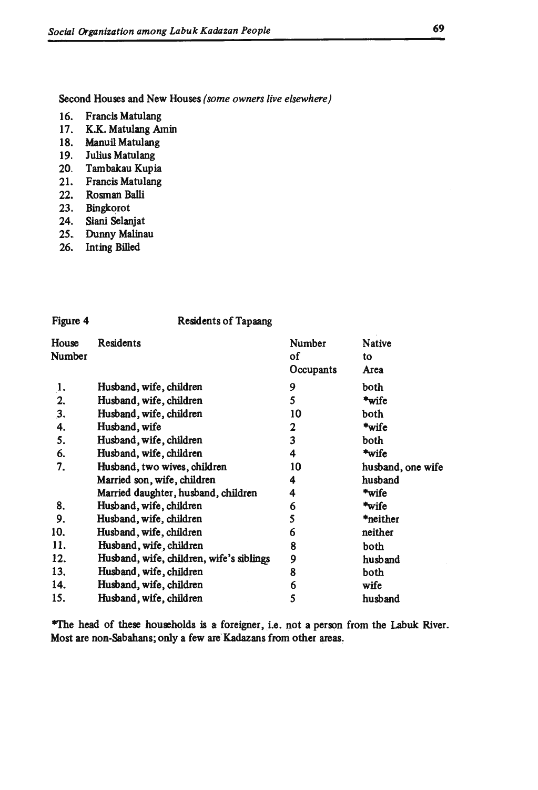Second Houses and New Houses *(some owners live elsewhere)* 

- 16. Francis Matulang<br>17. K.K. Matulang Ar
- K.K. Matulang Amin
- 18. Manuil Matulang
- 19. Julius Matulang
- 20. Tambakau Kupia
- 21. Francis Matulang
- 22. Rosman Balli
- 23. Bingkorot
- 24. Siani Selanjat
- 25. Dunny Malinau
- 26. Inting Billed

| Figure 4        | <b>Residents of Tapaang</b>              |                                  |                             |
|-----------------|------------------------------------------|----------------------------------|-----------------------------|
| House<br>Number | Residents                                | Number<br><b>of</b><br>Occupants | <b>Native</b><br>to<br>Area |
| 1.              | Husband, wife, children                  | 9                                | both                        |
| 2.              | Husband, wife, children                  | 5                                | *wife                       |
| 3.              | Husband, wife, children                  | 10                               | both                        |
| 4.              | Husband, wife                            | 2                                | *wife                       |
| 5.              | Husband, wife, children                  | 3                                | both                        |
| 6.              | Husband, wife, children                  | 4                                | *wife                       |
| 7.              | Husband, two wives, children             | 10                               | husband, one wife           |
|                 | Married son, wife, children              | 4                                | husband                     |
|                 | Married daughter, husband, children      | 4                                | *wife                       |
| 8.              | Husband, wife, children                  | 6                                | *wife                       |
| 9.              | Husband, wife, children                  | 5                                | *neither                    |
| 10.             | Husband, wife, children                  | 6                                | neither                     |
| 11.             | Husband, wife, children                  | 8                                | both                        |
| 12.             | Husband, wife, children, wife's siblings | 9                                | husband                     |
| 13.             | Husband, wife, children                  | 8                                | both                        |
| 14.             | Husband, wife, children                  | 6                                | wife                        |
| 15.             | Husband, wife, children                  | 5                                | husband                     |

\*The head of these households is a foreigner, i.e. not a person from the Labuk River. Most are non-Sabahans; only a few are' Kadazans from other areas,